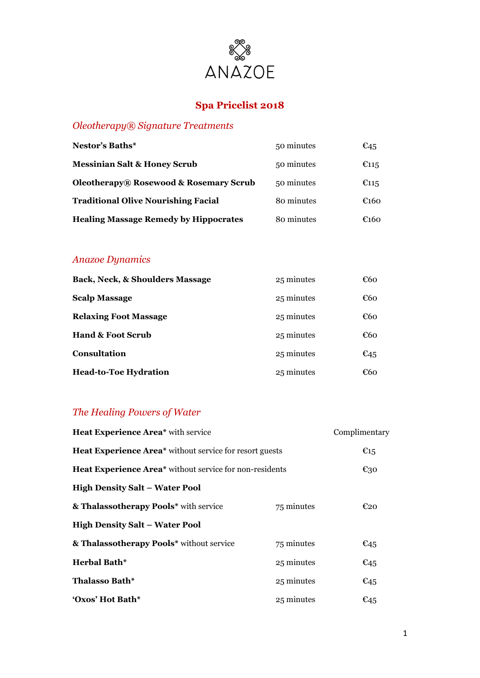

# **Spa Pricelist 2018**

### *Oleotherapy® Signature Treatments*

| <b>Nestor's Baths*</b>                            | 50 minutes | €45            |
|---------------------------------------------------|------------|----------------|
| <b>Messinian Salt &amp; Honey Scrub</b>           | 50 minutes | $\epsilon$ 115 |
| <b>Oleotherapy® Rosewood &amp; Rosemary Scrub</b> | 50 minutes | $\epsilon$ 115 |
| <b>Traditional Olive Nourishing Facial</b>        | 80 minutes | €160           |
| <b>Healing Massage Remedy by Hippocrates</b>      | 80 minutes | €160           |

### *Anazoe Dynamics*

| <b>Back, Neck, &amp; Shoulders Massage</b> | 25 minutes | €60             |
|--------------------------------------------|------------|-----------------|
| <b>Scalp Massage</b>                       | 25 minutes | €60             |
| <b>Relaxing Foot Massage</b>               | 25 minutes | €60             |
| <b>Hand &amp; Foot Scrub</b>               | 25 minutes | €60             |
| Consultation                               | 25 minutes | $\epsilon_{45}$ |
| <b>Head-to-Toe Hydration</b>               | 25 minutes | €60             |

# *The Healing Powers of Water*

| Heat Experience Area* with service                             |            | Complimentary   |
|----------------------------------------------------------------|------------|-----------------|
| <b>Heat Experience Area*</b> without service for resort guests |            | $\epsilon_{15}$ |
| Heat Experience Area* without service for non-residents        |            | $E_{30}$        |
| <b>High Density Salt - Water Pool</b>                          |            |                 |
| & Thalassotherapy Pools* with service                          | 75 minutes | $E_{20}$        |
| <b>High Density Salt - Water Pool</b>                          |            |                 |
| & Thalassotherapy Pools* without service                       | 75 minutes | $\epsilon_{45}$ |
| <b>Herbal Bath*</b>                                            | 25 minutes | $E_{45}$        |
| Thalasso Bath*                                                 | 25 minutes | $\epsilon_{45}$ |
| 'Oxos' Hot Bath*                                               | 25 minutes | $\epsilon_{45}$ |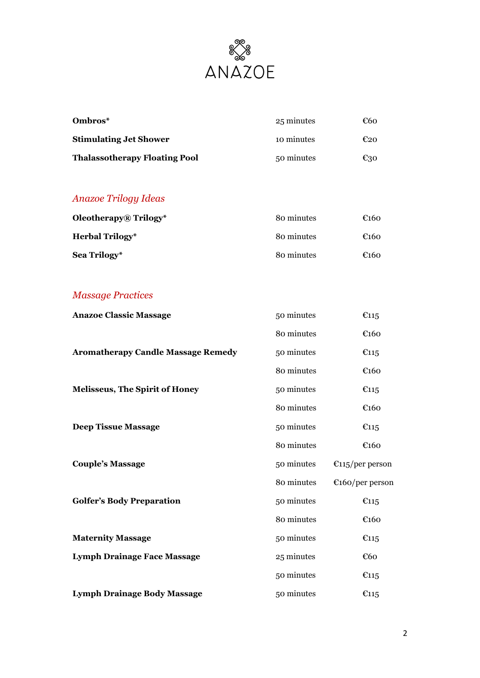

| Ombros*                              | 25 minutes | €60 |
|--------------------------------------|------------|-----|
| <b>Stimulating Jet Shower</b>        | 10 minutes | €20 |
| <b>Thalassotherapy Floating Pool</b> | 50 minutes | €30 |

### *Anazoe Trilogy Ideas*

| <b>Oleotherapy</b> ® Trilogy* | 80 minutes | $\epsilon$ 160 |
|-------------------------------|------------|----------------|
| <b>Herbal Trilogy</b> *       | 80 minutes | $\epsilon$ 160 |
| Sea Trilogy*                  | 80 minutes | $\epsilon$ 160 |

### *Massage Practices*

| <b>Anazoe Classic Massage</b>             | 50 minutes | E115                      |
|-------------------------------------------|------------|---------------------------|
|                                           | 80 minutes | €160                      |
| <b>Aromatherapy Candle Massage Remedy</b> | 50 minutes | E115                      |
|                                           | 80 minutes | €160                      |
| <b>Melisseus, The Spirit of Honey</b>     | 50 minutes | E115                      |
|                                           | 80 minutes | €160                      |
| <b>Deep Tissue Massage</b>                | 50 minutes | E115                      |
|                                           | 80 minutes | €160                      |
| <b>Couple's Massage</b>                   | 50 minutes | $\epsilon$ 115/per person |
|                                           | 80 minutes | $\epsilon$ 160/per person |
| <b>Golfer's Body Preparation</b>          | 50 minutes | E115                      |
|                                           | 80 minutes | €160                      |
| <b>Maternity Massage</b>                  | 50 minutes | E115                      |
| <b>Lymph Drainage Face Massage</b>        | 25 minutes | €60                       |
|                                           | 50 minutes | E115                      |
| <b>Lymph Drainage Body Massage</b>        | 50 minutes | E115                      |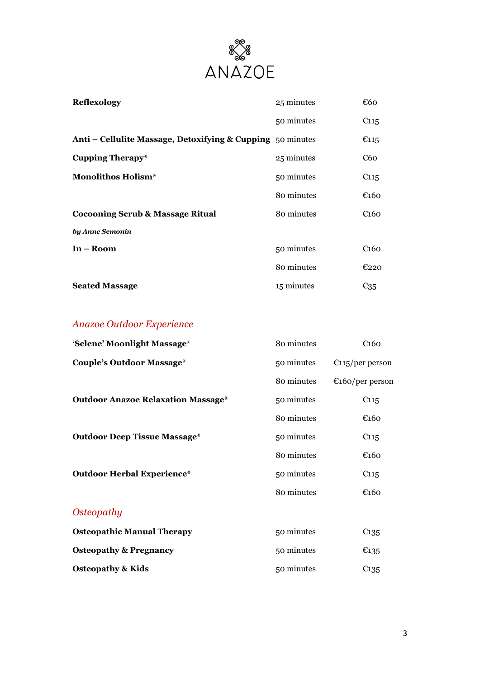

| <b>Reflexology</b>                                         | 25 minutes | €60                |
|------------------------------------------------------------|------------|--------------------|
|                                                            | 50 minutes | $\epsilon$ 115     |
| Anti - Cellulite Massage, Detoxifying & Cupping 50 minutes |            | $\epsilon$ 115     |
| <b>Cupping Therapy*</b>                                    | 25 minutes | €60                |
| <b>Monolithos Holism*</b>                                  | 50 minutes | $\epsilon$ 115     |
|                                                            | 80 minutes | $\epsilon$ 160     |
| <b>Cocooning Scrub &amp; Massage Ritual</b>                | 80 minutes | $\epsilon$ 160     |
| by Anne Semonin                                            |            |                    |
| $In - Room$                                                | 50 minutes | $\epsilon$ 160     |
|                                                            | 80 minutes | E220               |
| <b>Seated Massage</b>                                      | 15 minutes | $\varepsilon_{35}$ |

# *Anazoe Outdoor Experience*

| 'Selene' Moonlight Massage*               | 80 minutes | $\epsilon$ 160            |
|-------------------------------------------|------------|---------------------------|
| <b>Couple's Outdoor Massage*</b>          | 50 minutes | $\epsilon$ 115/per person |
|                                           | 80 minutes | $\epsilon$ 160/per person |
| <b>Outdoor Anazoe Relaxation Massage*</b> | 50 minutes | $\epsilon$ 115            |
|                                           | 80 minutes | $\epsilon$ 160            |
| <b>Outdoor Deep Tissue Massage*</b>       | 50 minutes | $\epsilon$ 115            |
|                                           | 80 minutes | $\epsilon$ 160            |
| <b>Outdoor Herbal Experience*</b>         | 50 minutes | $\epsilon$ 115            |
|                                           | 80 minutes | $\epsilon$ 160            |
| <i><b>Osteopathy</b></i>                  |            |                           |
| <b>Osteopathic Manual Therapy</b>         | 50 minutes | E135                      |
| <b>Osteopathy &amp; Pregnancy</b>         | 50 minutes | $\epsilon_{135}$          |
| <b>Osteopathy &amp; Kids</b>              | 50 minutes | E135                      |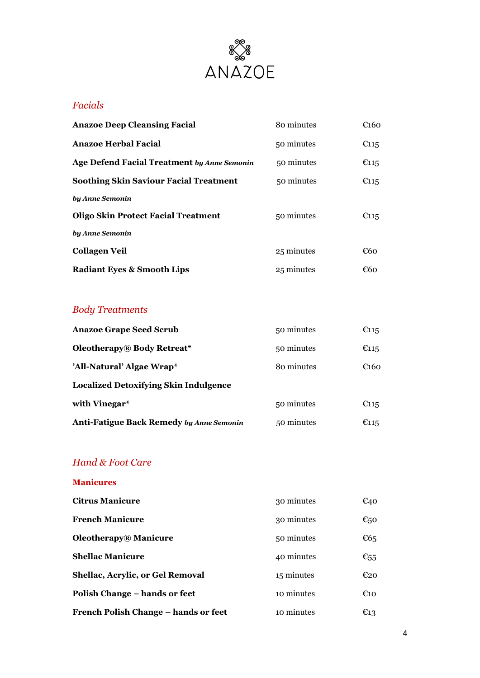

### *Facials*

| <b>Anazoe Deep Cleansing Facial</b>                | 80 minutes | $\epsilon$ 160 |
|----------------------------------------------------|------------|----------------|
| <b>Anazoe Herbal Facial</b>                        | 50 minutes | E115           |
| <b>Age Defend Facial Treatment by Anne Semonin</b> | 50 minutes | E115           |
| <b>Soothing Skin Saviour Facial Treatment</b>      | 50 minutes | $\epsilon$ 115 |
| by Anne Semonin                                    |            |                |
| <b>Oligo Skin Protect Facial Treatment</b>         | 50 minutes | $\epsilon$ 115 |
| by Anne Semonin                                    |            |                |
| <b>Collagen Veil</b>                               | 25 minutes | €60            |
| <b>Radiant Eyes &amp; Smooth Lips</b>              | 25 minutes | €60            |

# *Body Treatments*

| <b>Anazoe Grape Seed Scrub</b>                  | 50 minutes | $\epsilon$ 115 |
|-------------------------------------------------|------------|----------------|
| <b>Oleotherapy</b> ® Body Retreat*              | 50 minutes | $\epsilon$ 115 |
| 'All-Natural' Algae Wrap*                       | 80 minutes | €160           |
| <b>Localized Detoxifying Skin Indulgence</b>    |            |                |
| with Vinegar*                                   | 50 minutes | $\epsilon$ 115 |
| <b>Anti-Fatigue Back Remedy by Anne Semonin</b> | 50 minutes | $\epsilon$ 115 |

### *Hand & Foot Care*

### **Manicures**

| <b>Citrus Manicure</b>                  | 30 minutes | $\epsilon_{40}$    |
|-----------------------------------------|------------|--------------------|
| <b>French Manicure</b>                  | 30 minutes | $\varepsilon_{50}$ |
| <b>Oleotherapy</b> ® Manicure           | 50 minutes | E65                |
| <b>Shellac Manicure</b>                 | 40 minutes | $\varepsilon_{55}$ |
| <b>Shellac, Acrylic, or Gel Removal</b> | 15 minutes | $E_{20}$           |
| Polish Change - hands or feet           | 10 minutes | $\epsilon_{10}$    |
| French Polish Change – hands or feet    | 10 minutes | $E_{13}$           |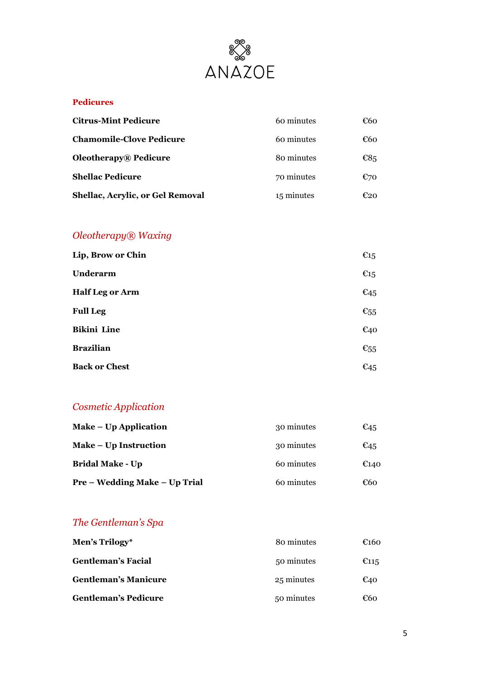

#### **Pedicures**

| <b>Citrus-Mint Pedicure</b>             | 60 minutes | €60    |
|-----------------------------------------|------------|--------|
| <b>Chamomile-Clove Pedicure</b>         | 60 minutes | €60    |
| <b>Oleotherapy</b> ® Pedicure           | 80 minutes | $E8_5$ |
| <b>Shellac Pedicure</b>                 | 70 minutes | €70    |
| <b>Shellac, Acrylic, or Gel Removal</b> | 15 minutes | €20    |

# *Oleotherapy® Waxing*

| Lip, Brow or Chin      | $\epsilon_{15}$    |
|------------------------|--------------------|
| Underarm               | $\epsilon_{15}$    |
| <b>Half Leg or Arm</b> | $\epsilon_{45}$    |
| <b>Full Leg</b>        | $\varepsilon_{55}$ |
| <b>Bikini Line</b>     | $E_{40}$           |
| <b>Brazilian</b>       | $\varepsilon_{55}$ |
| <b>Back or Chest</b>   | $\epsilon_{45}$    |

# *Cosmetic Application*

| Make – Up Application                | 30 minutes | $\epsilon$ 45 |
|--------------------------------------|------------|---------------|
| Make – Up Instruction                | 30 minutes | €45           |
| <b>Bridal Make - Up</b>              | 60 minutes | E140          |
| <b>Pre – Wedding Make – Up Trial</b> | 60 minutes | €60           |

# *The Gentleman's Spa*

| Men's Trilogy*              | 80 minutes | €160 |
|-----------------------------|------------|------|
| <b>Gentleman's Facial</b>   | 50 minutes | E115 |
| <b>Gentleman's Manicure</b> | 25 minutes | €40  |
| <b>Gentleman's Pedicure</b> | 50 minutes | €60  |